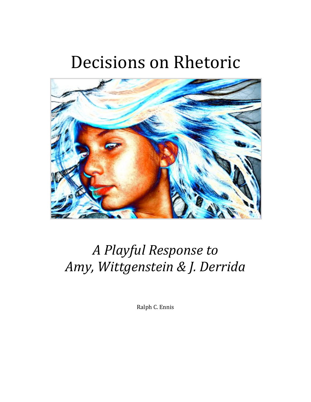# Decisions on Rhetoric



# *A Playful Response to Amy, Wittgenstein & J. Derrida*

Ralph C. Ennis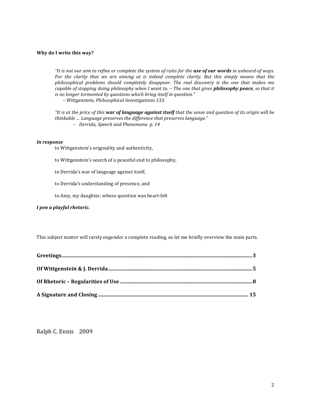#### **Why do I write this way?**

*"It is not our aim to refine or complete the system of rules for the use of our words in unheard-of ways.* For the clarity that we are aiming at is indeed complete clarity. But this simply means that the *philosophical* problems should completely disappear. The real discovery is the one that makes me *capable* of stopping doing philosophy when I want to. - The one that gives **philosophy peace**, so that it *is no longer tormented by questions which bring itself in question."* 

 $-$  *Wittgenstein, Philosophical Investigations 133.* 

*"It is at the price of this* **war of language against itself** that the sense and question of its origin will be thinkable ... Language preserves the difference that preserves language." *– Derrida, Speech and Phenomena p. 14*

#### *In response*

to Wittgenstein's originality and authenticity,

- to Wittgenstein's search of a peaceful end to philosophy,
- to Derrida's war of language against itself,
- to Derrida's understanding of presence, and
- to Amy, my daughter, whose question was heart-felt

#### *I pen a playful rhetoric.*

This subject matter will rarely engender a complete reading, so let me briefly overview the main parts.

Ralph C. Ennis 2009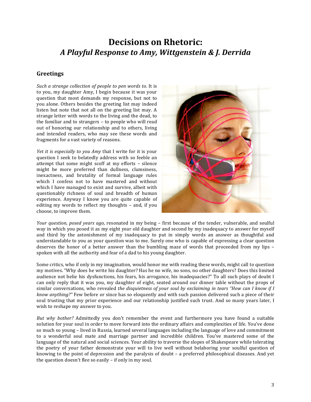# **Decisions on Rhetoric:** *A Playful Response to Amy, Wittgenstein & J. Derrida*

### **Greetings**

Such a strange collection of people to pen words to. It is to you, my daughter Amy, I begin because it was your question that most demands my response, but not to you alone. Others besides the greeting list may indeed listen but note that not all on the greeting list may. A strange letter with words to the living and the dead, to the familiar and to strangers  $-$  to people who will read out of honoring our relationship and to others, living and intended readers, who may see these words and fragments for a vast variety of reasons.

*Yet it is especially to you Amy* that I write for it is your question I seek to belatedly address with so feeble an attempt that some might scoff at my efforts  $-$  silence might be more preferred than dullness, clumsiness, inexactness, and brutality of formal language rules which I confess not to have mastered and without which I have managed to exist and survive, albeit with questionably richness of soul and breadth of human experience. Anyway I know you are quite capable of editing my words to reflect my thoughts  $-$  and, if you choose, to improve them.



*Your question, posed years ago,* resonated in my being – first because of the tender, vulnerable, and soulful way in which you posed it as my eight year old daughter and second by my inadequacy to answer for myself and third by the astonishment of my inadequacy to put in simply words an answer as thoughtful and understandable to you as your question was to me. Surely one who is capable of expressing a clear question deserves the honor of a better answer than the bumbling maze of words that proceeded from my lips  $$ spoken with all the authority and fear of a dad to his young daughter.

Some critics, who if only in my imagination, would honor me with reading these words, might call to question my motives. "Why does he write his daughter? Has he no wife, no sons, no other daughters? Does this limited audience not belie his dysfunctions, his fears, his arrogance, his inadequacies?" To all such plays of doubt I can only reply that it was you, my daughter of eight, seated around our dinner table without the props of similar conversations, who revealed the disquietness of your soul by exclaiming in tears "How can I know if I *know anything?"* Few before or since has so eloquently and with such passion delivered such a piece of their soul trusting that my prior experience and our relationship justified such trust. And so many years later, I wish to reshape my answer to you.

*But* why bother? Admittedly you don't remember the event and furthermore you have found a suitable solution for your soul in order to move forward into the ordinary affairs and complexities of life. You've done so much so young – lived in Russia, learned several languages including the language of love and commitment to a wonderful soul mate and marriage partner and incredible children. You've mastered some of the language of the natural and social sciences. Your ability to traverse the slopes of Shakespeare while tolerating the poetry of your father demonstrate your will to live well without belaboring your soulful question of knowing to the point of depression and the paralysis of doubt  $-$  a preferred philosophical diseases. And yet the question doesn't flee so easily  $-$  if only in my soul.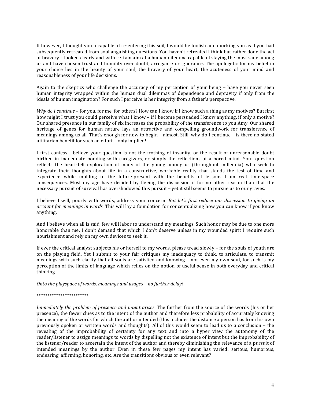If however, I thought you incapable of re-entering this soil, I would be foolish and mocking you as if you had subsequently retreated from soul anguishing questions. You haven't retreated I think but rather done the act of bravery – looked clearly and with certain aim at a human dilemma capable of slaying the most sane among us and have chosen trust and humility over doubt, arrogance or ignorance. The apologetic for my belief in your choice lies in the beauty of your soul, the bravery of your heart, the acuteness of your mind and reasonableness of your life decisions.

Again to the skeptics who challenge the accuracy of my perception of your being  $-$  have you never seen human integrity wrapped within the human dual dilemmas of dependence and depravity if only from the ideals of human imagination? For such I perceive is her integrity from a father's perspective.

*Why* do *I* continue – for you, for me, for others? How can I know if I know such a thing as my motives? But first how might I trust you could perceive what I know - if I become persuaded I know anything, if only a motive? Our shared presence in our family of six increases the probability of the transference to you Amy. Our shared heritage of genes for human nature lays an attractive and compelling groundwork for transference of meanings among us all. That's enough for now to begin – almost. Still, why do I continue – is there no stated utilitarian benefit for such an effort - only implied!

I first confess I believe your question is not the frothing of insanity, or the result of unreasonable doubt birthed in inadequate bonding with caregivers, or simply the reflections of a bored mind. Your question reflects the heart-felt exploration of many of the young among us (throughout millennia) who seek to integrate their thoughts about life in a constructive, workable reality that stands the test of time and experience while molding to the future-present with the benefits of lessons from real time-space consequences. Most my age have decided by fleeing the discussion if for no other reason than that the necessary pursuit of survival has overshadowed this pursuit – yet it still seems to pursue us to our graves.

I believe I will, poorly with words, address your concern. *But let's first reduce our discussion to giving an account for meanings in words.* This will lay a foundation for conceptualizing how you can know if you know anything.

And I believe when all is said, few will labor to understand my meanings. Such honor may be due to one more honorable than me. I don't demand that which I don't deserve unless in my wounded spirit I require such nourishment and rely on my own devices to seek it.

If ever the critical analyst subjects his or herself to my words, please tread slowly – for the souls of youth are on the playing field. Yet I submit to your fair critiques my inadequacy to think, to articulate, to transmit meanings with such clarity that all souls are satisfied and knowing - not even my own soul, for such is my perception of the limits of language which relies on the notion of useful sense in both everyday and critical thinking.

*Onto the playspace of words, meanings and usages – no further delay!* 

#### \*\*\*\*\*\*\*\*\*\*\*\*\*\*\*\*\*\*\*\*\*\*\*\*

*Immediately the problem of presence and intent arises*. The further from the source of the words (his or her presence), the fewer clues as to the intent of the author and therefore less probability of accurately knowing the meaning of the words for which the author intended (this includes the distance a person has from his own previously spoken or written words and thoughts). All of this would seem to lead us to a conclusion – the revealing of the improbability of certainty for any text and into a hyper view the autonomy of the reader/listener to assign meanings to words by dispelling not the existence of intent but the improbability of the listener/reader to ascertain the intent of the author and thereby diminishing the relevance of a pursuit of intended meanings by the author. Even in these few pages my intent has varied: serious, humorous, endearing, affirming, honoring, etc. Are the transitions obvious or even relevant?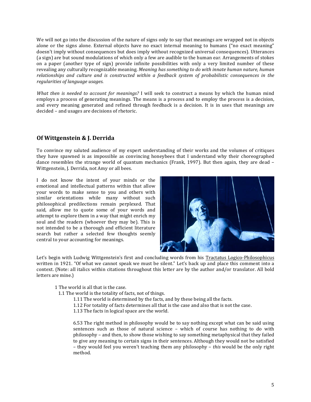We will not go into the discussion of the nature of signs only to say that meanings are wrapped not in objects alone or the signs alone. External objects have no exact internal meaning to humans ("no exact meaning" doesn't imply without consequences but does imply without recognized universal consequences). Utterances (a sign) are but sound modulations of which only a few are audible to the human ear. Arrangements of stokes on a paper (another type of sign) provide infinite possibilities with only a very limited number of these revealing any culturally recognizable meaning. *Meaning has something to do with innate human nature, human relationships* and culture and is constructed within a feedback system of probabilistic consequences in the *regularities of language usages.*

*What then* is needed to account for meanings? I will seek to construct a means by which the human mind employs a process of generating meanings. The means is a process and to employ the process is a decision, and every meaning generated and refined through feedback is a decision. It is in uses that meanings are decided – and usages are decisions of rhetoric.

# **Of Wittgenstein & J. Derrida**

To convince my saluted audience of my expert understanding of their works and the volumes of critiques they have spawned is as impossible as convincing honeybees that I understand why their choreographed dance resembles the strange world of quantum mechanics (Frank, 1997). But then again, they are dead  $-$ Wittgenstein, J. Derrida, not Amy or all bees.

I do not know the intent of your minds or the emotional and intellectual patterns within that allow your words to make sense to you and others with similar orientations while many without such philosophical predilections remain perplexed. That said, allow me to quote some of your words and attempt to explore them in a way that might enrich  $my$ soul and the readers (whoever they may be). This is not intended to be a thorough and efficient literature search but rather a selected few thoughts seemly central to your accounting for meanings.



Let's begin with Ludwig Wittgenstein's first and concluding words from his Tractatus Logico-Philosophicus written in 1921. "Of what we cannot speak we must be silent." Let's back up and place this comment into a context. (Note: all italics within citations throughout this letter are by the author and/or translator. All bold letters are mine.)

1 The world is all that is the case.

1.1 The world is the totality of facts, not of things.

- 1.11 The world is determined by the facts, and by these being all the facts.
- 1.12 For totality of facts determines all that is the case and also that is not the case.
- 1.13 The facts in logical space are the world.

6.53 The right method in philosophy would be to say nothing except what can be said using sentences such as those of natural science - which of course has nothing to do with philosophy – and then, to show those wishing to say something metaphysical that they failed to give any meaning to certain signs in their sentences. Although they would not be satisfied – they would feel you weren't teaching them any philosophy – *this* would be the only right method.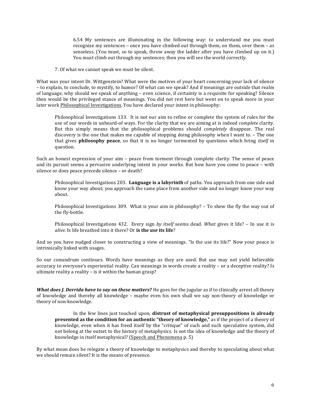6.54 My sentences are illuminating in the following way: to understand me you must recognize my sentences – once you have climbed out through them, on them, over them – as senseless. (You must, so to speak, throw away the ladder after you have climbed up on it.) You must climb out through my sentences; then you will see the world correctly.

7. Of what we cannot speak we must be silent.

What was your intent Dr. Wittgenstein? What were the motives of your heart concerning your lack of silence – to explain, to conclude, to mystify, to humor? Of what can we speak? And if meanings are outside that realm of language, why should we speak of anything – even science, if certainty is a requisite for speaking? Silence then would be the privileged stance of meanings. You did not rest here but went on to speak more in your later work Philosophical Investigations. You have declared your intent in philosophy:

Philosophical Investigations 133. It is not our aim to refine or complete the system of rules for the use of our words in unheard-of ways. For the clarity that we are aiming at is indeed *complete* clarity. But this simply means that the philosophical problems should *completely* disappear. The real discovery is the one that makes me capable of stopping doing philosophy when I want to. – The one that gives **philosophy peace**, so that it is no longer tormented by questions which bring *itself* in question. 

Such an honest expression of your  $\dim$  – peace from torment through complete clarity. The sense of peace and its pursuit seems a pervasive underlying intent in your works. But how have you come to peace – with silence or does peace precede silence - or death?

Philosophical Investigations 203. Language is a labyrinth of paths. You approach from one side and know your way about; you approach the same place from another side and no longer know your way about.

Philosophical Investigations 309. What is your aim in philosophy? - To shew the fly the way out of the fly-bottle.

Philosophical Investigations 432. Every sign by *itself* seems dead. *What* gives it life? – In use it is *alive*. Is life breathed into it there? Or is the *use* its life?

And so you have nudged closer to constructing a view of meanings. "Is the use its life?" Now your peace is intrinsically linked with usages.

So our conundrum continues. Words have meanings as they are used. But use may not yield believable accuracy to everyone's experiential reality. Can meanings in words create a reality – or a deceptive reality? Is ultimate reality a reality  $-$  is it within the human grasp?

*What does I. Derrida have to say on these matters?* He goes for the jugular as if to clinically arrest all theory of knowledge and thereby all knowledge – maybe even his own shall we say non-theory of knowledge or theory of non-knowledge.

In the few lines just touched upon, **distrust of metaphysical presuppositions is already presented** as the condition for an authentic "theory of knowledge," as if the project of a theory of knowledge, even when it has freed itself by the "critique" of such and such speculative system, did not belong at the outset to the history of metaphysics. Is not the idea of knowledge and the theory of knowledge in itself metaphysical? (Speech and Phenomena p. 5)

By what mean does he relegate a theory of knowledge to metaphysics and thereby to speculating about what we should remain silent? It is the means of presence.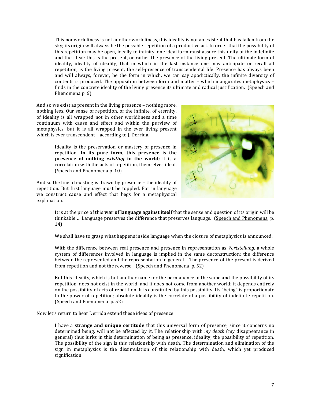This nonworldliness is not another worldliness, this ideality is not an existent that has fallen from the sky; its origin will always be the possible repetition of a productive act. In order that the possibility of this repetition may be open, ideally to infinity, one ideal form must assure this unity of the indefinite and the ideal: this is the present, or rather the presence of the living present. The ultimate form of ideality, ideality of ideality, that in which in the last instance one may anticipate or recall all repetition, is the living present, the self-presence of transcendental life. Presence has always been and will always, forever, be the form in which, we can say apodictically, the infinite diversity of contents is produced. The opposition between form and matter - which inaugurates metaphysics finds in the concrete ideality of the living presence its ultimate and radical iustification. (Speech and Phenomena p. 6)

And so we exist as present in the living presence  $-$  nothing more, nothing less. Our sense of repetition, of the infinite, of eternity, of ideality is all wrapped not in other worldliness and a time continuum with cause and effect and within the purview of metaphysics, but it is all wrapped in the ever living present which is ever transcendent - according to J. Derrida.

> Ideality is the preservation or mastery of presence in repetition. In its pure form, this presence is the **presence** of nothing *existing* in the world; it is a correlation with the acts of repetition, themselves ideal. (Speech and Phenomena p. 10)

And so the line of existing is drawn by presence  $-$  the ideality of repetition. But first language must be toppled. For in language we construct cause and effect that begs for a metaphysical explanation.



It is at the price of this **war of language against itself** that the sense and question of its origin will be thinkable ... Language preserves the difference that preserves language. (Speech and Phenomena p. 14)

We shall have to grasp what happens inside language when the closure of metaphysics is announced.

With the difference between real presence and presence in representation as *Vortstellung*, a whole system of differences involved in language is implied in the same deconstruction: the difference between the represented and the representation in general... The presence-of-the-present is derived from repetition and not the reverse. (Speech and Phenomena p. 52)

But this ideality, which is but another name for the permanence of the same and the possibility of its repetition, does not exist in the world, and it does not come from another world; it depends entirely on the possibility of acts of repetition. It is constituted by this possibility. Its "being" is proportionate to the power of repetition; absolute ideality is the correlate of a possibility of indefinite repetition. (Speech and Phenomena p. 52)

Now let's return to hear Derrida extend these ideas of presence.

I have a **strange and unique certitude** that this universal form of presence, since it concerns no determined being, will not be affected by it. The relationship with *my death* (my disappearance in general) thus lurks in this determination of being as presence, ideality, the possibility of repetition. The possibility of the sign is this relationship with death. The determination and elimination of the sign in metaphysics is the dissimulation of this relationship with death, which yet produced signification.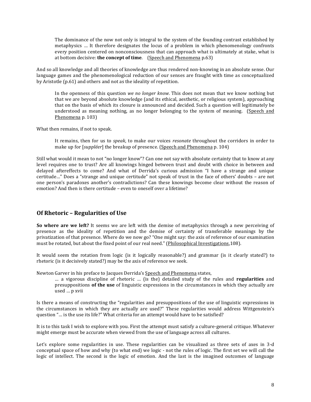The dominance of the now not only is integral to the system of the founding contrast established by metaphysics … It therefore designates the locus of a problem in which phenomenology confronts every position centered on nonconsciousness that can approach what is ultimately at stake, what is at bottom decisive: **the concept of time**. (Speech and Phenomena p.63)

And so all knowledge and all theories of knowledge are thus rendered non-knowing in an absolute sense. Our language games and the phenomenological reduction of our senses are fraught with time as conceptualized by Aristotle (p.61) and others and not as the ideality of repetition.

In the openness of this question *we no longer know*. This does not mean that we know nothing but that we are beyond absolute knowledge (and its ethical, aesthetic, or religious system), approaching that on the basis of which its closure is announced and decided. Such a question will legitimately be understood as meaning nothing, as no longer belonging to the system of meaning. (Speech and Phenomena p. 103)

What then remains, if not to speak.

It remains, then for us to *speak*, to make our voices *resonate* throughout the corridors in order to make up for [*suppléer*] the breakup of presence. (Speech and Phenomena p. 104)

Still what would it mean to not "no longer know"? Can one not say with absolute certainty that to know at any level requires one to trust? Are all knowings hinged between trust and doubt with choice in between and delayed aftereffects to come? And what of Derrida's curious admission "I have a strange and unique certitude..." Does a "strange and unique certitude" not speak of trust in the face of others' doubts - are not one person's paradoxes another's contradictions? Can these knowings become clear without the reason of emotion? And then is there certitude – even to oneself over a lifetime?

### **Of Rhetoric – Regularities of Use**

**So where are we left?** It seems we are left with the demise of metaphysics through a new perceiving of presence as the ideality of repetition and the demise of certainty of transferable meanings by the privatization of that presence. Where do we now go? "One might say: the axis of reference of our examination must be rotated, but about the fixed point of our real need." (Philosophical Investigations,108).

It would seem the rotation from logic (is it logically reasonable?) and grammar (is it clearly stated?) to rhetoric (is it decisively stated?) may be the axis of reference we seek.

Newton Garver in his preface to Jacques Derrida's Speech and Phenomena states,

… a vigorous discipline of rhetoric … (is the) detailed study of the rules and **regularities** and presuppositions of the use of linguistic expressions in the circumstances in which they actually are used ... p xvii

Is there a means of constructing the "regularities and presuppositions of the use of linguistic expressions in the circumstances in which they are actually are used?" These regularities would address Wittgenstein's question "... is the use its life?" What criteria for an attempt would have to be satisfied?

It is to this task I wish to explore with you. First the attempt must satisfy a culture-general critique. Whatever might emerge must be accurate when viewed from the use of language across all cultures.

Let's explore some regularities in use. These regularities can be visualized as three sets of axes in 3-d conceptual space of how and why (to what end) we logic - not the rules of logic. The first set we will call the logic of intellect. The second is the logic of emotion. And the last is the imagined outcomes of language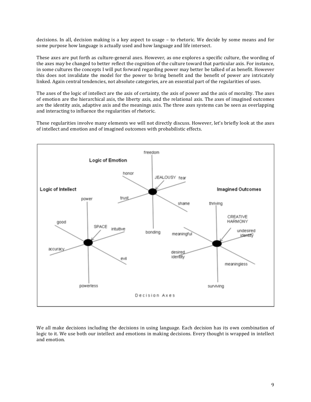decisions. In all, decision making is a key aspect to usage  $-$  to rhetoric. We decide by some means and for some purpose how language is actually used and how language and life intersect.

These axes are put forth as culture-general axes. However, as one explores a specific culture, the wording of the axes may be changed to better reflect the cognition of the culture toward that particular axis. For instance, in some cultures the concepts I will put forward regarding power may better be talked of as benefit. However this does not invalidate the model for the power to bring benefit and the benefit of power are intricately linked. Again central tendencies, not absolute categories, are an essential part of the regularities of uses.

The axes of the logic of intellect are the axis of certainty, the axis of power and the axis of morality. The axes of emotion are the hierarchical axis, the liberty axis, and the relational axis. The axes of imagined outcomes are the identity axis, adaptive axis and the meanings axis. The three axes systems can be seen as overlapping and interacting to influence the regularities of rhetoric.

These regularities involve many elements we will not directly discuss. However, let's briefly look at the axes of intellect and emotion and of imagined outcomes with probabilistic effects.



We all make decisions including the decisions in using language. Each decision has its own combination of logic to it. We use both our intellect and emotions in making decisions. Every thought is wrapped in intellect and emotion.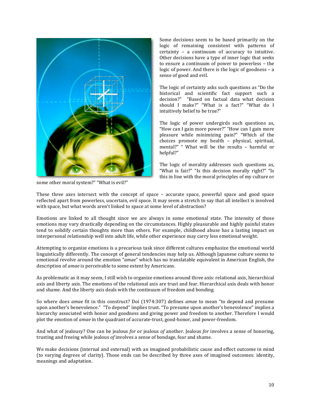

Some decisions seem to be based primarily on the logic of remaining consistent with patterns of certainty  $-$  a continuum of accuracy to intuitive. Other decisions have a type of inner logic that seeks to ensure a continuum of power to powerless - the logic of power. And there is the logic of goodness  $-$  a sense of good and evil.

The logic of certainty asks such questions as "Do the historical and scientific fact support such a decision?" "Based on factual data what decision should I make?" "What is a fact?" "What do I intuitively belief to be true?"

The logic of power undergirds such questions as, "How can I gain more power?" "How can I gain more pleasure while minimizing pain?" "Which of the choices promote my health – physical, spiritual, mental?" " What will be the results - harmful or helpful?"

The logic of morality addresses such questions as, "What is fair?" "Is this decision morally right?" "Is this in line with the moral principles of my culture or

some other moral system?" "What is evil?"

These three axes intersect with the concept of space  $-$  accurate space, powerful space and good space reflected apart from powerless, uncertain, evil space. It may seem a stretch to say that all intellect is involved with space, but what words aren't linked to space at some level of abstraction?

Emotions are linked to all thought since we are always in some emotional state. The intensity of those emotions may vary drastically depending on the circumstances. Highly pleasurable and highly painful states tend to solidify certain thoughts more than others. For example, childhood abuse has a lasting impact on interpersonal relationship well into adult life, while other experience may carry less emotional weight.

Attempting to organize emotions is a precarious task since different cultures emphasize the emotional world linguistically differently. The concept of general tendencies may help us. Although Japanese culture seems to emotional revolve around the emotion "amae" which has no translatable equivalent in American English, the description of *amae* is perceivable to some extent by Americans.

As problematic as it may seem, I still wish to organize emotions around three axis: relational axis, hierarchical axis and liberty axis. The emotions of the relational axis are trust and fear. Hierarchical axis deals with honor and shame. And the liberty axis deals with the continuum of freedom and bonding.

So where does *amae* fit in this construct? Doi (1974:307) defines *amae* to mean "to depend and presume upon another's benevolence." "To depend" implies trust. "To presume upon another's benevolence" implies a hierarchy associated with honor and goodness and giving power and freedom to another. Therefore I would plot the emotion of *amae* in the quadrant of accurate-trust, good-honor, and power-freedom.

And what of jealousy? One can be jealous *for* or jealous *of* another. Jealous *for* involves a sense of honoring, trusting and freeing while jealous of involves a sense of bondage, fear and shame.

We make decisions (internal and external) with an imagined probabilistic cause and effect outcome in mind (to varying degrees of clarity). Those ends can be described by three axes of imagined outcomes: identity, meanings and adaptation.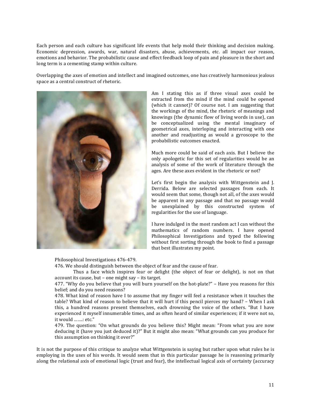Each person and each culture has significant life events that help mold their thinking and decision making. Economic depression, awards, war, natural disasters, abuse, achievements, etc. all impact our reason, emotions and behavior. The probabilistic cause and effect feedback loop of pain and pleasure in the short and long term is a cementing stamp within culture.

Overlapping the axes of emotion and intellect and imagined outcomes, one has creatively harmonious jealous space as a central construct of rhetoric.



Am I stating this as if three visual axes could be extracted from the mind if the mind could be opened (which it cannot)? Of course not. I am suggesting that the workings of the mind, the rhetoric of meanings and knowings (the dynamic flow of living words in use), can be conceptualized using the mental imaginary of geometrical axes, interloping and interacting with one another and readjusting as would a gyroscope to the probabilistic outcomes enacted.

Much more could be said of each axis. But I believe the only apologetic for this set of regularities would be an analysis of some of the work of literature through the ages. Are these axes evident in the rhetoric or not?

Let's first begin the analysis with Wittgenstein and J. Derrida. Below are selected passages from each. It would seem that some, though not all, of the axes would be apparent in any passage and that no passage would be unexplained by this constructed system of regularities for the use of language.

I have indulged in the most random act I can without the mathematics of random numbers. I have opened Philosophical Investigations and typed the following without first sorting through the book to find a passage that best illustrates my point.

Philosophical Investigations 476-479.

476. We should distinguish between the object of fear and the cause of fear.

Thus a face which inspires fear or delight (the object of fear or delight), is not on that account its cause, but  $-$  one might say  $-$  its target.

477. "Why do you believe that you will burn yourself on the hot-plate?" – Have you reasons for this belief; and do you need reasons?

478. What kind of reason have I to assume that my finger will feel a resistance when it touches the table? What kind of reason to believe that it will hurt if this pencil pierces my hand? – When I ask this, a hundred reasons present themselves, each drowning the voice of the others. "But I have experienced it myself innumerable times, and as often heard of similar experiences; if it were not so, it would .......: etc."

479. The question: "On what grounds do you believe this? Might mean: "From what you are now deducing it (have you just deduced it)?" But it might also mean: "What grounds can you produce for this assumption on thinking it over?"

It is not the purpose of this critique to analyze what Wittgenstein is saying but rather upon what rules he is employing in the uses of his words. It would seem that in this particular passage he is reasoning primarily along the relational axis of emotional logic (trust and fear), the intellectual logical axis of certainty (accuracy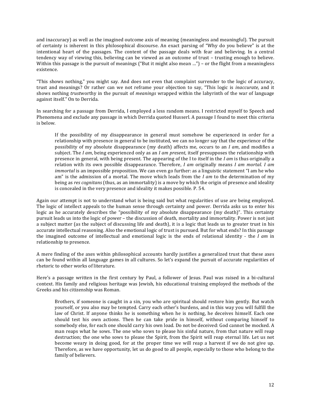and inaccuracy) as well as the imagined outcome axis of meaning (meaningless and meaningful). The pursuit of certainty is inherent in this philosophical discourse. An exact parsing of "Why do you believe" is at the intentional heart of the passages. The content of the passage deals with fear and believing. In a central tendency way of viewing this, believing can be viewed as an outcome of trust – trusting enough to believe. Within this passage is the pursuit of meanings ("But it might also mean ...") – or the flight from a meaningless existence.

"This shows nothing," you might say. And does not even that complaint surrender to the logic of accuracy, trust and meanings? Or rather can we not reframe your objection to say, "This logic is *inaccurate*, and it shows nothing *trustworthy* in the pursuit of *meanings* wrapped within the labyrinth of the war of language against itself." On to Derrida.

In searching for a passage from Derrida, I employed a less random means. I restricted myself to Speech and Phenomena and exclude any passage in which Derrida quoted Husserl. A passage I found to meet this criteria is below.

If the possibility of my disappearance in general must somehow be experienced in order for a relationship with presence in general to be instituted, we can no longer say that the experience of the possibility of my absolute disappearance (my death) affects me, occurs to an *I am*, and modifies a subject. The *I am*, being experienced only as an *I am present*, itself presupposes the relationship with presence in general, with being present. The appearing of the I to itself in the *I am* is thus originally a relation with its own possible disappearance. Therefore, *I am* originally means *I am mortal. I am immortal* is an impossible proposition. We can even go further: as a linguistic statement "I am he who am" is the admission of a mortal. The move which leads from the  $I$  am to the determination of my being as *res cognitans* (thus, as an immortality) is a move by which the origin of presence and ideality is concealed in the very presence and ideality it makes possible. P. 54.

Again our attempt is not to understand what is being said but what regularities of use are being employed. The logic of intellect appeals to the human sense through certainty and power. Derrida asks us to enter his logic as he accurately describes the "possibility of my absolute disappearance (my death)". This certainty pursuit leads us into the logic of power – the discussion of death, mortality and immortality. Power is not just a subject matter (as the subject of discussing life and death), it is a logic that leads us to greater trust in his accurate intellectual reasoning. Also the emotional logic of trust is pursued. But for what ends? In this passage the imagined outcome of intellectual and emotional logic is the ends of relational identity - the *I am* in relationship to presence.

A mere finding of the axes within philosophical accounts hardly justifies a generalized trust that these axes can be found within all language games in all cultures. So let's expand the pursuit of accurate regularities of rhetoric to other works of literature.

Here's a passage written in the first century by Paul, a follower of Jesus. Paul was raised in a bi-cultural context. His family and religious heritage was Jewish, his educational training employed the methods of the Greeks and his citizenship was Roman.

Brothers, if someone is caught in a sin, you who are spiritual should restore him gently. But watch yourself, or you also may be tempted. Carry each other's burdens, and in this way you will fulfill the law of Christ. If anyone thinks he is something when he is nothing, he deceives himself. Each one should test his own actions. Then he can take pride in himself, without comparing himself to somebody else, for each one should carry his own load. Do not be deceived: God cannot be mocked. A man reaps what he sows. The one who sows to please his sinful nature, from that nature will reap destruction; the one who sows to please the Spirit, from the Spirit will reap eternal life. Let us not become weary in doing good, for at the proper time we will reap a harvest if we do not give up. Therefore, as we have opportunity, let us do good to all people, especially to those who belong to the family of believers.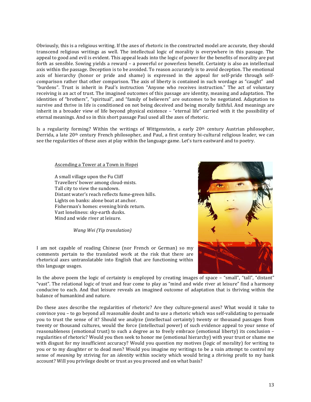Obviously, this is a religious writing. If the axes of rhetoric in the constructed model are accurate, they should transcend religious writings as well. The intellectual logic of morality is everywhere in this passage. The appeal to good and evil is evident. This appeal leads into the logic of power for the benefits of morality are put forth as sensible. Sowing yields a reward - a powerful or powerless benefit. Certainty is also an intellectual axis within the passage. Deception is to be avoided. To reason accurately is to avoid deception. The emotional axis of hierarchy (honor or pride and shame) is expressed in the appeal for self-pride through selfcomparison rather that other comparison. The axis of liberty is contained in such wordage as "caught" and "burdens". Trust is inherit in Paul's instruction "Anyone who receives instruction." The act of voluntary receiving is an act of trust. The imagined outcomes of this passage are identity, meaning and adaptation. The identities of "brothers", "spiritual", and "family of believers" are outcomes to be negotiated. Adaptation to survive and thrive in life is conditioned on not being deceived and being morally faithful. And meanings are inherit in a broader view of life beyond physical existence – "eternal life" carried with it the possibility of eternal meanings. And so in this short passage Paul used all the axes of rhetoric.

Is a regularity forming? Within the writings of Wittgenstein, a early  $20<sup>th</sup>$  century Austrian philosopher, Derrida, a late  $20<sup>th</sup>$  century French philosopher, and Paul, a first century bi-cultural religious leader, we can see the regularities of these axes at play within the language game. Let's turn eastward and to poetry.

#### Ascending a Tower at a Town in Hopei

A small village upon the Fu Cliff Travellers' bower among cloud-mists. Tall city to view the sundown. Distant water's reach reflects fume-green hills. Lights on banks: alone boat at anchor. Fisherman's homes: evening birds return. Vast loneliness: sky-earth dusks. Mind and wide river at leisure.

*Wang Wei (Yip translation)*

I am not capable of reading Chinese (nor French or German) so my comments pertain to the translated work at the risk that there are rhetorical axes untranslatable into English that are functioning within this language usages.

In the above poem the logic of certainty is employed by creating images of space – "small", "tall", "distant" "vast". The relational logic of trust and fear come to play as "mind and wide river at leisure" find a harmony conducive to each. And that leisure reveals an imagined outcome of adaptation that is thriving within the balance of humankind and nature.

Do these axes describe the regularities of rhetoric? Are they culture-general axes? What would it take to convince you – to go beyond all reasonable doubt and to use a rhetoric which was self-validating to persuade you to trust the sense of it? Should we analyze (intellectual certainty) twenty or thousand passages from twenty or thousand cultures, would the force (intellectual power) of such evidence appeal to your sense of reasonableness (emotional trust) to such a degree as to freely embrace (emotional liberty) its conclusion regularities of rhetoric? Would you then seek to honor me (emotional hierarchy) with your trust or shame me with disgust for my insufficient accuracy? Would you question my motives (logic of morality) for writing to you or to my daughter or to dead men? Would you imagine my writings to be a vain attempt to control my sense of *meaning* by striving for an *identity* within society which would bring a *thriving* profit to my bank account? Will you privilege doubt or trust as you proceed and on what basis?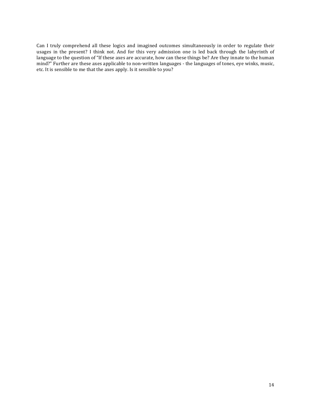Can I truly comprehend all these logics and imagined outcomes simultaneously in order to regulate their usages in the present? I think not. And for this very admission one is led back through the labyrinth of language to the question of "If these axes are accurate, how can these things be? Are they innate to the human mind?" Further are these axes applicable to non-written languages - the languages of tones, eye winks, music, etc. It is sensible to me that the axes apply. Is it sensible to you?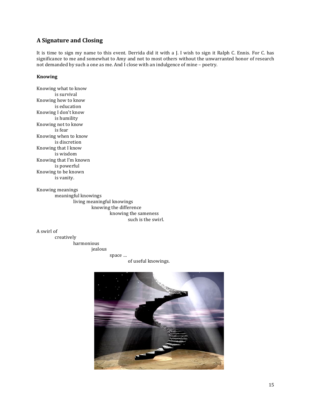# **A Signature and Closing**

It is time to sign my name to this event. Derrida did it with a J. I wish to sign it Ralph C. Ennis. For C. has significance to me and somewhat to Amy and not to most others without the unwarranted honor of research not demanded by such a one as me. And I close with an indulgence of mine - poetry.

#### **Knowing**

Knowing what to know is survival Knowing how to know is education Knowing I don't know is humility Knowing not to know is fear Knowing when to know is discretion Knowing that I know is wisdom Knowing that I'm known is powerful Knowing to be known is vanity.

Knowing meanings meaningful knowings living meaningful knowings knowing the difference knowing the sameness such is the swirl.

A swirl of

creatively harmonious jealous

space … of useful knowings.